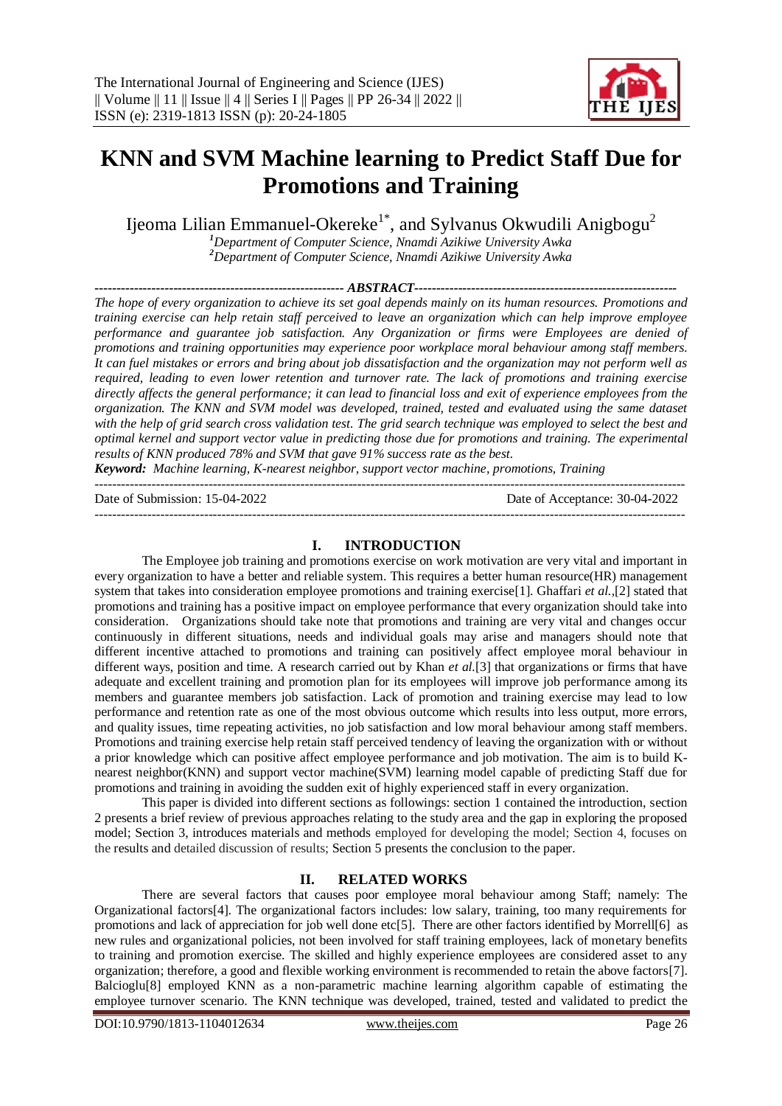

# **KNN and SVM Machine learning to Predict Staff Due for Promotions and Training**

Ijeoma Lilian Emmanuel-Okereke<sup>1\*</sup>, and Sylvanus Okwudili Anigbogu<sup>2</sup>

*<sup>1</sup>Department of Computer Science, Nnamdi Azikiwe University Awka <sup>2</sup>Department of Computer Science, Nnamdi Azikiwe University Awka*

*--------------------------------------------------------- ABSTRACT------------------------------------------------------------*

*The hope of every organization to achieve its set goal depends mainly on its human resources. Promotions and training exercise can help retain staff perceived to leave an organization which can help improve employee performance and guarantee job satisfaction. Any Organization or firms were Employees are denied of promotions and training opportunities may experience poor workplace moral behaviour among staff members. It can fuel mistakes or errors and bring about job dissatisfaction and the organization may not perform well as required, leading to even lower retention and turnover rate. The lack of promotions and training exercise directly affects the general performance; it can lead to financial loss and exit of experience employees from the organization. The KNN and SVM model was developed, trained, tested and evaluated using the same dataset with the help of grid search cross validation test. The grid search technique was employed to select the best and optimal kernel and support vector value in predicting those due for promotions and training. The experimental results of KNN produced 78% and SVM that gave 91% success rate as the best.*

*Keyword:**Machine learning, K-nearest neighbor, support vector machine, promotions, Training* ---------------------------------------------------------------------------------------------------------------------------------------

Date of Submission: 15-04-2022 Date of Acceptance: 30-04-2022

---------------------------------------------------------------------------------------------------------------------------------------

#### **I. INTRODUCTION**

The Employee job training and promotions exercise on work motivation are very vital and important in every organization to have a better and reliable system. This requires a better human resource(HR) management system that takes into consideration employee promotions and training exercise<sup>[1]</sup>. Ghaffari *et al.*,<sup>[2]</sup> stated that promotions and training has a positive impact on employee performance that every organization should take into consideration. Organizations should take note that promotions and training are very vital and changes occur continuously in different situations, needs and individual goals may arise and managers should note that different incentive attached to promotions and training can positively affect employee moral behaviour in different ways, position and time. A research carried out by Khan *et al.*[3] that organizations or firms that have adequate and excellent training and promotion plan for its employees will improve job performance among its members and guarantee members job satisfaction. Lack of promotion and training exercise may lead to low performance and retention rate as one of the most obvious outcome which results into less output, more errors, and quality issues, time repeating activities, no job satisfaction and low moral behaviour among staff members. Promotions and training exercise help retain staff perceived tendency of leaving the organization with or without a prior knowledge which can positive affect employee performance and job motivation. The aim is to build Knearest neighbor(KNN) and support vector machine(SVM) learning model capable of predicting Staff due for promotions and training in avoiding the sudden exit of highly experienced staff in every organization.

This paper is divided into different sections as followings: section 1 contained the introduction, section 2 presents a brief review of previous approaches relating to the study area and the gap in exploring the proposed model; Section 3, introduces materials and methods employed for developing the model; Section 4, focuses on the results and detailed discussion of results; Section 5 presents the conclusion to the paper.

## **II. RELATED WORKS**

There are several factors that causes poor employee moral behaviour among Staff; namely: The Organizational factors[4]. The organizational factors includes: low salary, training, too many requirements for promotions and lack of appreciation for job well done etc[5]. There are other factors identified by Morrell[6] as new rules and organizational policies, not been involved for staff training employees, lack of monetary benefits to training and promotion exercise. The skilled and highly experience employees are considered asset to any organization; therefore, a good and flexible working environment is recommended to retain the above factors[7]. Balcioglu[8] employed KNN as a non-parametric machine learning algorithm capable of estimating the employee turnover scenario. The KNN technique was developed, trained, tested and validated to predict the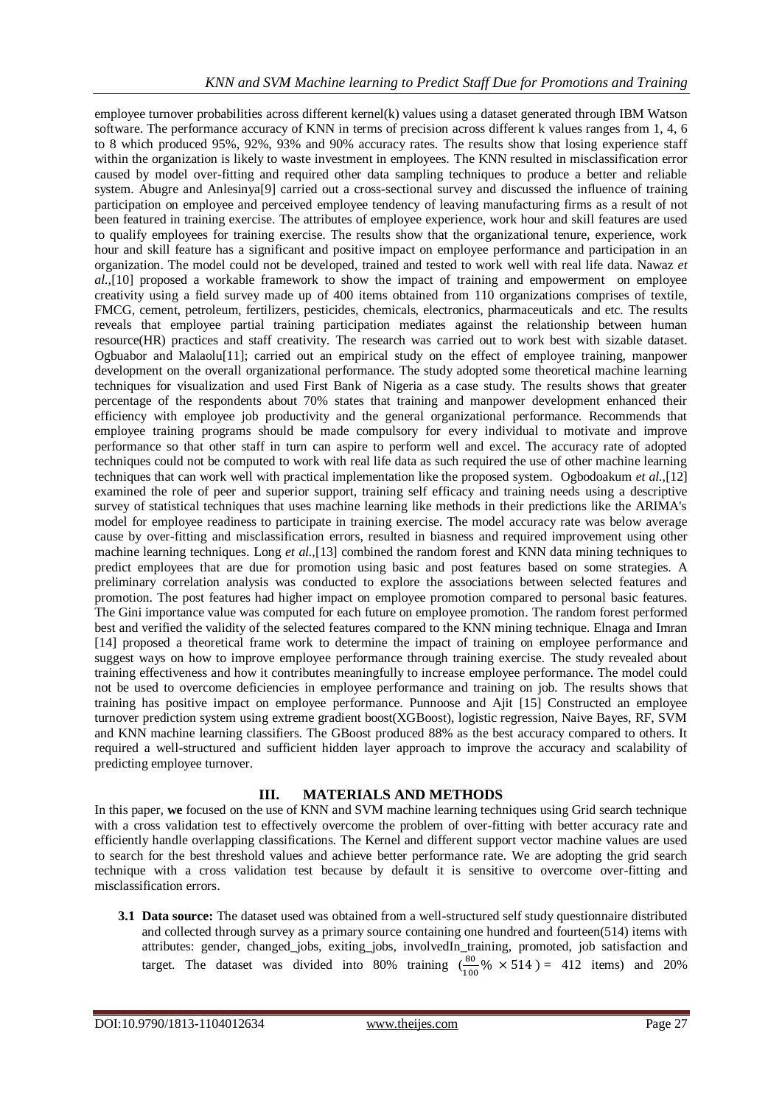employee turnover probabilities across different kernel(k) values using a dataset generated through IBM Watson software. The performance accuracy of KNN in terms of precision across different k values ranges from 1, 4, 6 to 8 which produced 95%, 92%, 93% and 90% accuracy rates. The results show that losing experience staff within the organization is likely to waste investment in employees. The KNN resulted in misclassification error caused by model over-fitting and required other data sampling techniques to produce a better and reliable system. Abugre and Anlesinya[9] carried out a cross-sectional survey and discussed the influence of training participation on employee and perceived employee tendency of leaving manufacturing firms as a result of not been featured in training exercise. The attributes of employee experience, work hour and skill features are used to qualify employees for training exercise. The results show that the organizational tenure, experience, work hour and skill feature has a significant and positive impact on employee performance and participation in an organization. The model could not be developed, trained and tested to work well with real life data. Nawaz *et al.,*[10] proposed a workable framework to show the impact of training and empowerment on employee creativity using a field survey made up of 400 items obtained from 110 organizations comprises of textile, FMCG, cement, petroleum, fertilizers, pesticides, chemicals, electronics, pharmaceuticals and etc. The results reveals that employee partial training participation mediates against the relationship between human resource(HR) practices and staff creativity. The research was carried out to work best with sizable dataset. Ogbuabor and Malaolu[11]; carried out an empirical study on the effect of employee training, manpower development on the overall organizational performance. The study adopted some theoretical machine learning techniques for visualization and used First Bank of Nigeria as a case study. The results shows that greater percentage of the respondents about 70% states that training and manpower development enhanced their efficiency with employee job productivity and the general organizational performance. Recommends that employee training programs should be made compulsory for every individual to motivate and improve performance so that other staff in turn can aspire to perform well and excel. The accuracy rate of adopted techniques could not be computed to work with real life data as such required the use of other machine learning techniques that can work well with practical implementation like the proposed system. Ogbodoakum *et al.,*[12] examined the role of peer and superior support, training self efficacy and training needs using a descriptive survey of statistical techniques that uses machine learning like methods in their predictions like the ARIMA's model for employee readiness to participate in training exercise. The model accuracy rate was below average cause by over-fitting and misclassification errors, resulted in biasness and required improvement using other machine learning techniques. Long *et al.,*[13] combined the random forest and KNN data mining techniques to predict employees that are due for promotion using basic and post features based on some strategies. A preliminary correlation analysis was conducted to explore the associations between selected features and promotion. The post features had higher impact on employee promotion compared to personal basic features. The Gini importance value was computed for each future on employee promotion. The random forest performed best and verified the validity of the selected features compared to the KNN mining technique. Elnaga and Imran [14] proposed a theoretical frame work to determine the impact of training on employee performance and suggest ways on how to improve employee performance through training exercise. The study revealed about training effectiveness and how it contributes meaningfully to increase employee performance. The model could not be used to overcome deficiencies in employee performance and training on job. The results shows that training has positive impact on employee performance. Punnoose and Ajit [15] Constructed an employee turnover prediction system using extreme gradient boost(XGBoost), logistic regression, Naive Bayes, RF, SVM and KNN machine learning classifiers. The GBoost produced 88% as the best accuracy compared to others. It required a well-structured and sufficient hidden layer approach to improve the accuracy and scalability of predicting employee turnover.

## **III. MATERIALS AND METHODS**

In this paper, **we** focused on the use of KNN and SVM machine learning techniques using Grid search technique with a cross validation test to effectively overcome the problem of over-fitting with better accuracy rate and efficiently handle overlapping classifications. The Kernel and different support vector machine values are used to search for the best threshold values and achieve better performance rate. We are adopting the grid search technique with a cross validation test because by default it is sensitive to overcome over-fitting and misclassification errors.

**3.1 Data source:** The dataset used was obtained from a well-structured self study questionnaire distributed and collected through survey as a primary source containing one hundred and fourteen(514) items with attributes: gender, changed\_jobs, exiting\_jobs, involvedIn\_training, promoted, job satisfaction and target. The dataset was divided into 80% training  $\left(\frac{80}{100}\% \times 514\right) = 412$  items) and 20%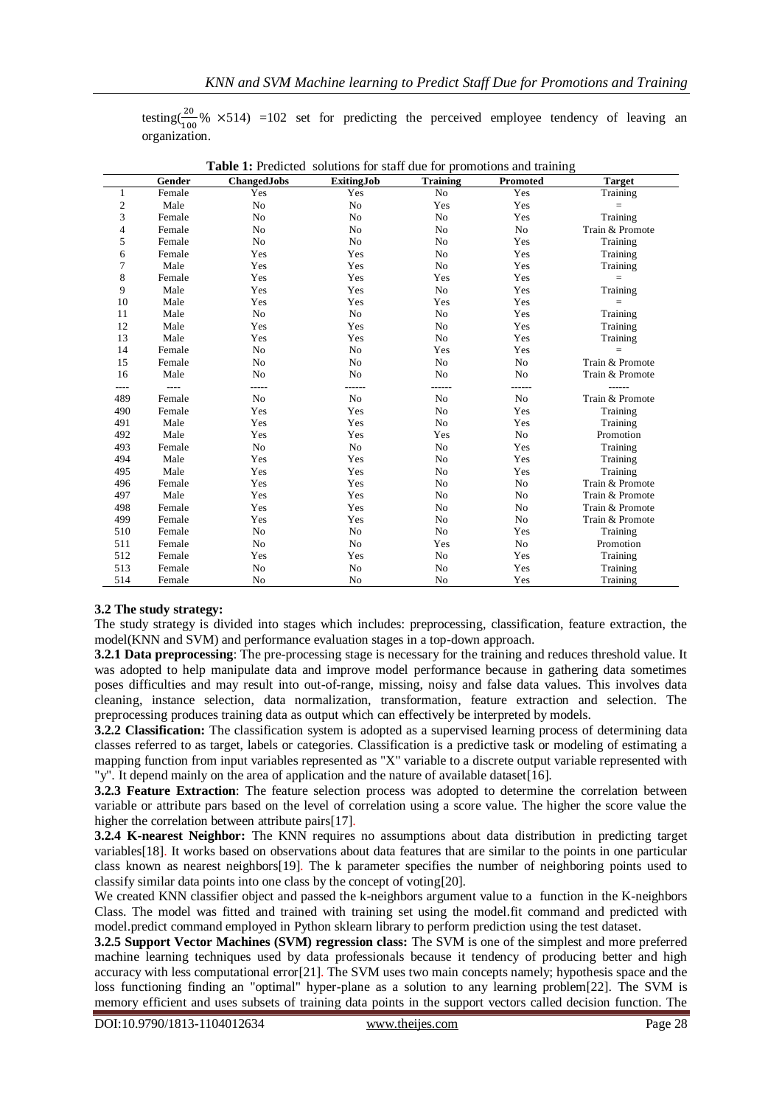testing( $\frac{20}{100}$ % ×514) =102 set for predicting the perceived employee tendency of leaving an organization.

|              | Gender | <b>ChangedJobs</b> | <b>ExitingJob</b> | <b>Training</b> | Promoted       | <b>Target</b>   |
|--------------|--------|--------------------|-------------------|-----------------|----------------|-----------------|
| 1            | Female | Yes                | Yes               | No              | Yes            | Training        |
| $\mathbf{2}$ | Male   | No                 | No                | Yes             | Yes            | $=$             |
| 3            | Female | No                 | No                | No              | Yes            | Training        |
| 4            | Female | No                 | No                | No              | No             | Train & Promote |
| 5            | Female | No                 | No                | No              | Yes            | Training        |
| 6            | Female | Yes                | Yes               | N <sub>0</sub>  | Yes            | Training        |
| 7            | Male   | Yes                | Yes               | N <sub>0</sub>  | Yes            | Training        |
| 8            | Female | Yes                | Yes               | Yes             | Yes            | $\quad \  \  =$ |
| 9            | Male   | Yes                | Yes               | No              | Yes            | Training        |
| 10           | Male   | Yes                | Yes               | Yes             | Yes            | $\equiv$        |
| 11           | Male   | No                 | No                | No              | Yes            | Training        |
| 12           | Male   | Yes                | Yes               | N <sub>0</sub>  | Yes            | Training        |
| 13           | Male   | Yes                | Yes               | No              | Yes            | Training        |
| 14           | Female | N <sub>o</sub>     | N <sub>o</sub>    | Yes             | Yes            | $=$             |
| 15           | Female | No                 | No                | No              | No             | Train & Promote |
| 16           | Male   | N <sub>o</sub>     | N <sub>o</sub>    | N <sub>o</sub>  | N <sub>0</sub> | Train & Promote |
| $- - - -$    | $  -$  | -----              | ------            | ------          | ------         | ------          |
| 489          | Female | No                 | No                | No              | No             | Train & Promote |
| 490          | Female | Yes                | Yes               | N <sub>0</sub>  | Yes            | Training        |
| 491          | Male   | Yes                | Yes               | N <sub>o</sub>  | Yes            | Training        |
| 492          | Male   | Yes                | Yes               | Yes             | No             | Promotion       |
| 493          | Female | No                 | No                | No              | Yes            | Training        |
| 494          | Male   | Yes                | Yes               | No              | Yes            | Training        |
| 495          | Male   | Yes                | Yes               | No              | Yes            | Training        |
| 496          | Female | Yes                | Yes               | No              | No             | Train & Promote |
| 497          | Male   | Yes                | Yes               | No              | No             | Train & Promote |
| 498          | Female | Yes                | Yes               | N <sub>0</sub>  | N <sub>o</sub> | Train & Promote |
| 499          | Female | Yes                | Yes               | No              | No             | Train & Promote |
| 510          | Female | No                 | No                | N <sub>0</sub>  | Yes            | Training        |
| 511          | Female | No                 | No                | Yes             | No             | Promotion       |
| 512          | Female | Yes                | Yes               | No              | Yes            | Training        |
| 513          | Female | No                 | No                | No              | Yes            | Training        |
| 514          | Female | No                 | No                | No              | Yes            | Training        |

**Table 1:** Predicted solutions for staff due for promotions and training

## **3.2 The study strategy:**

The study strategy is divided into stages which includes: preprocessing, classification, feature extraction, the model(KNN and SVM) and performance evaluation stages in a top-down approach.

**3.2.1 Data preprocessing**: The pre-processing stage is necessary for the training and reduces threshold value. It was adopted to help manipulate data and improve model performance because in gathering data sometimes poses difficulties and may result into out-of-range, missing, noisy and false data values. This involves data cleaning, instance selection, data normalization, transformation, feature extraction and selection. The preprocessing produces training data as output which can effectively be interpreted by models.

**3.2.2 Classification:** The classification system is adopted as a supervised learning process of determining data classes referred to as target, labels or categories. Classification is a predictive task or modeling of estimating a mapping function from input variables represented as "X" variable to a discrete output variable represented with "y". It depend mainly on the area of application and the nature of available dataset[16].

**3.2.3 Feature Extraction**: The feature selection process was adopted to determine the correlation between variable or attribute pars based on the level of correlation using a score value. The higher the score value the higher the correlation between attribute pairs[17].

**3.2.4 K-nearest Neighbor:** The KNN requires no assumptions about data distribution in predicting target variables[18]. It works based on observations about data features that are similar to the points in one particular class known as nearest neighbors[19]. The k parameter specifies the number of neighboring points used to classify similar data points into one class by the concept of voting[20].

We created KNN classifier object and passed the k-neighbors argument value to a function in the K-neighbors Class. The model was fitted and trained with training set using the model.fit command and predicted with model.predict command employed in Python sklearn library to perform prediction using the test dataset.

**3.2.5 Support Vector Machines (SVM) regression class:** The SVM is one of the simplest and more preferred machine learning techniques used by data professionals because it tendency of producing better and high accuracy with less computational error[21]. The SVM uses two main concepts namely; hypothesis space and the loss functioning finding an "optimal" hyper-plane as a solution to any learning problem[22]. The SVM is memory efficient and uses subsets of training data points in the support vectors called decision function. The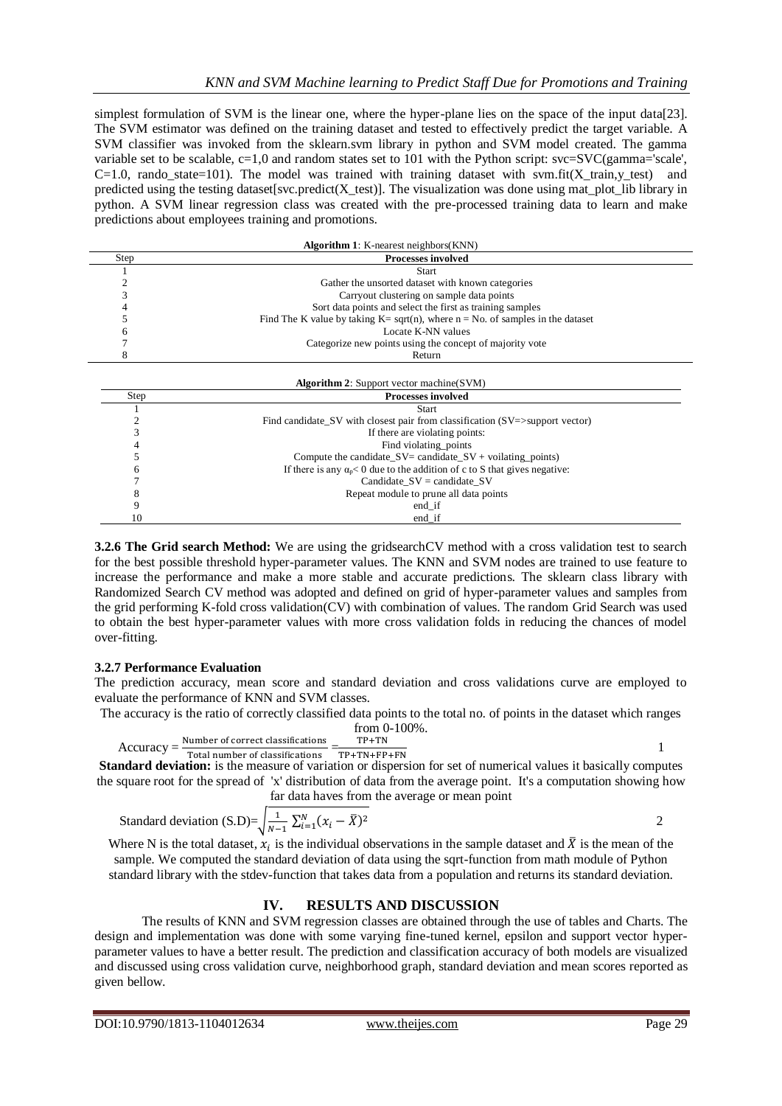simplest formulation of SVM is the linear one, where the hyper-plane lies on the space of the input data[23]. The SVM estimator was defined on the training dataset and tested to effectively predict the target variable. A SVM classifier was invoked from the sklearn.svm library in python and SVM model created. The gamma variable set to be scalable, c=1,0 and random states set to 101 with the Python script: svc=SVC(gamma='scale',  $C=1.0$ , rando state=101). The model was trained with training dataset with svm.fit(X train,y test) and predicted using the testing dataset[svc.predict(X\_test)]. The visualization was done using mat\_plot\_lib library in python. A SVM linear regression class was created with the pre-processed training data to learn and make predictions about employees training and promotions.

| <b>Algorithm 1:</b> K-nearest neighbors(KNN) |                                                                                                  |  |  |  |  |
|----------------------------------------------|--------------------------------------------------------------------------------------------------|--|--|--|--|
| Step                                         | <b>Processes involved</b>                                                                        |  |  |  |  |
|                                              | <b>Start</b>                                                                                     |  |  |  |  |
|                                              | Gather the unsorted dataset with known categories                                                |  |  |  |  |
|                                              | Carryout clustering on sample data points                                                        |  |  |  |  |
|                                              | Sort data points and select the first as training samples                                        |  |  |  |  |
|                                              | Find The K value by taking $K = \sqrt{g(t)}$ , where $n = No$ . of samples in the dataset        |  |  |  |  |
| 0                                            | Locate K-NN values                                                                               |  |  |  |  |
|                                              | Categorize new points using the concept of majority vote                                         |  |  |  |  |
| 8                                            | Return                                                                                           |  |  |  |  |
|                                              |                                                                                                  |  |  |  |  |
|                                              | <b>Algorithm 2:</b> Support vector machine (SVM)                                                 |  |  |  |  |
| Step<br><b>Processes involved</b>            |                                                                                                  |  |  |  |  |
|                                              | <b>Start</b>                                                                                     |  |  |  |  |
|                                              | Find candidate $\text{SV}$ with closest pair from classification ( $\text{SV}$ =>support vector) |  |  |  |  |
| 3                                            | If there are violating points:                                                                   |  |  |  |  |
|                                              | Find violating points                                                                            |  |  |  |  |
|                                              | Compute the candidate_ $SV =$ candidate_ $SV +$ voilating_points)                                |  |  |  |  |
|                                              | If there is any $\alpha_0 < 0$ due to the addition of c to S that gives negative:                |  |  |  |  |
|                                              | Candidate $SV =$ candidate SV                                                                    |  |  |  |  |
|                                              | Repeat module to prune all data points                                                           |  |  |  |  |
| 9                                            | end_if                                                                                           |  |  |  |  |
| 10                                           | end_if                                                                                           |  |  |  |  |

**3.2.6 The Grid search Method:** We are using the gridsearchCV method with a cross validation test to search for the best possible threshold hyper-parameter values. The KNN and SVM nodes are trained to use feature to increase the performance and make a more stable and accurate predictions. The sklearn class library with Randomized Search CV method was adopted and defined on grid of hyper-parameter values and samples from the grid performing K-fold cross validation(CV) with combination of values. The random Grid Search was used to obtain the best hyper-parameter values with more cross validation folds in reducing the chances of model over-fitting.

## **3.2.7 Performance Evaluation**

The prediction accuracy, mean score and standard deviation and cross validations curve are employed to evaluate the performance of KNN and SVM classes.

The accuracy is the ratio of correctly classified data points to the total no. of points in the dataset which ranges from 0-100%.

$$
Accuracy = \frac{Number\ of\ correct\ classifications}{Total\ number\ of\ classifications} = \frac{TP+TN}{TP+TN+FP+FN}
$$

**Standard deviation:** is the measure of variations TP+TN+FP+FN<br>Standard deviation: is the measure of variation or dispersion for set of numerical values it basically computes the square root for the spread of 'x' distribution of data from the average point. It's a computation showing how far data haves from the average or mean point

Standard deviation (S.D)=
$$
\sqrt{\frac{1}{N-1} \sum_{i=1}^{N} (x_i - \overline{X})^2}
$$

Where N is the total dataset,  $x_i$  is the individual observations in the sample dataset and  $\bar{X}$  is the mean of the sample. We computed the standard deviation of data using the sqrt-function from math module of Python standard library with the stdev-function that takes data from a population and returns its standard deviation.

## **IV. RESULTS AND DISCUSSION**

The results of KNN and SVM regression classes are obtained through the use of tables and Charts. The design and implementation was done with some varying fine-tuned kernel, epsilon and support vector hyperparameter values to have a better result. The prediction and classification accuracy of both models are visualized and discussed using cross validation curve, neighborhood graph, standard deviation and mean scores reported as given bellow.

1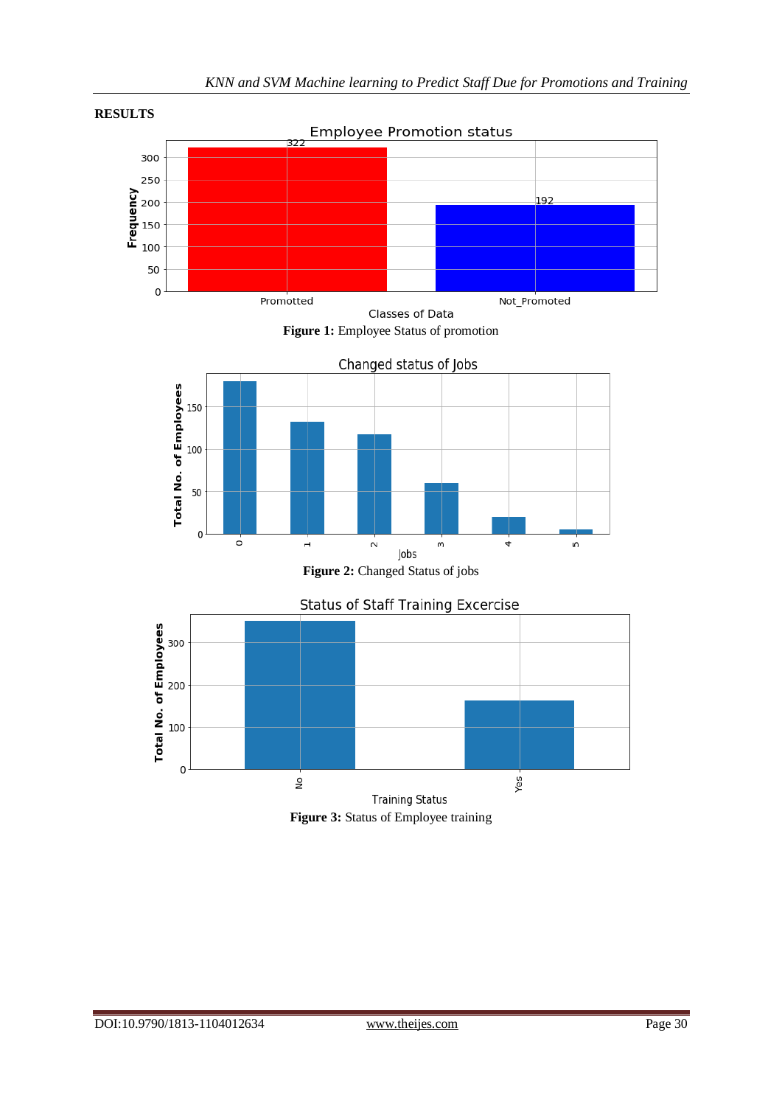

Promotted Not\_Promoted Classes of Data **Figure 1:** Employee Status of promotion





**Training Status Figure 3:** Status of Employee training

50  $\,0\,$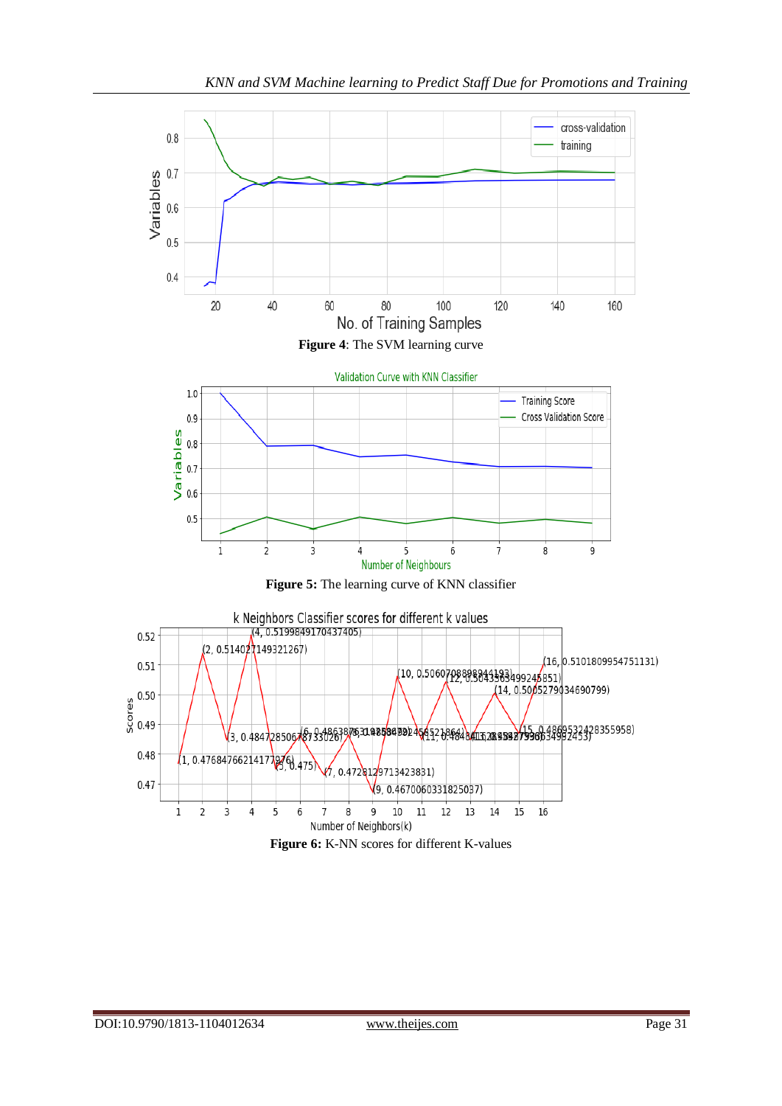

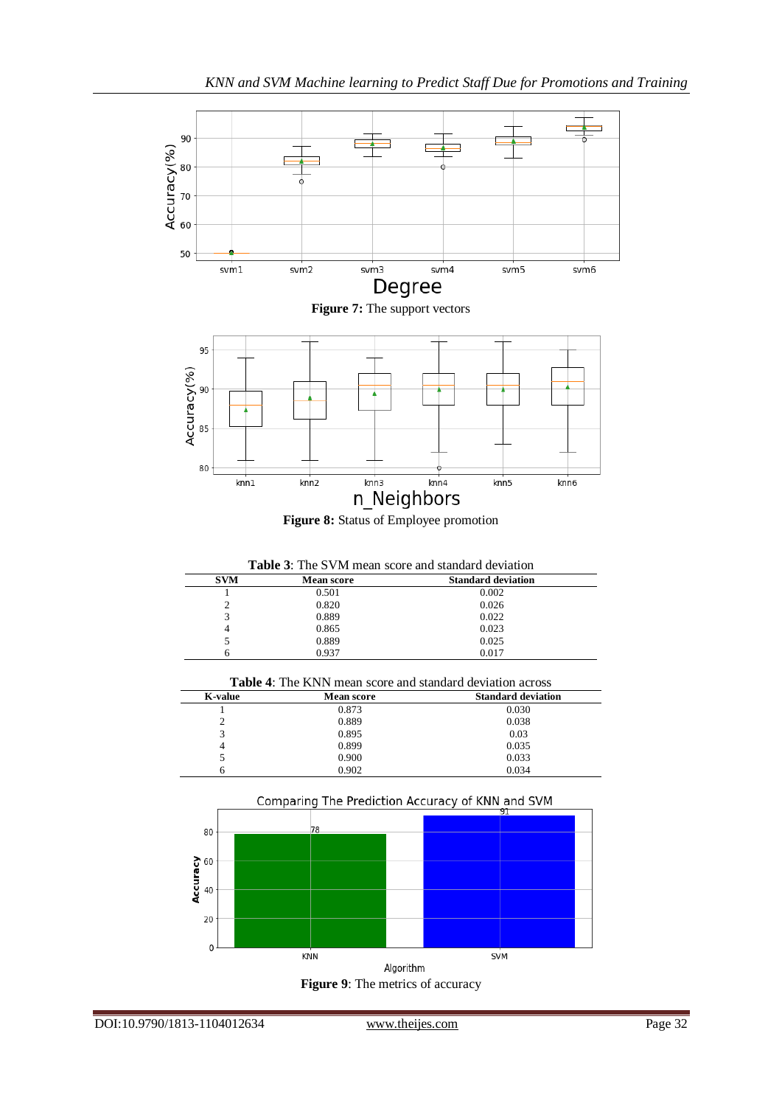



| <b>Table 3:</b> The SVM mean score and standard deviation |                   |                           |  |  |  |
|-----------------------------------------------------------|-------------------|---------------------------|--|--|--|
| <b>SVM</b>                                                | <b>Mean score</b> | <b>Standard deviation</b> |  |  |  |
|                                                           | 0.501             | 0.002                     |  |  |  |
|                                                           | 0.820             | 0.026                     |  |  |  |
|                                                           | 0.889             | 0.022                     |  |  |  |
|                                                           | 0.865             | 0.023                     |  |  |  |
|                                                           | 0.889             | 0.025                     |  |  |  |
|                                                           | 0.937             | 0.017                     |  |  |  |

| <b>Table 4:</b> The KNN mean score and standard deviation across |                   |                           |  |  |  |  |
|------------------------------------------------------------------|-------------------|---------------------------|--|--|--|--|
| K-value                                                          | <b>Mean score</b> | <b>Standard deviation</b> |  |  |  |  |
|                                                                  | 0.873             | 0.030                     |  |  |  |  |
| C.                                                               | 0.889             | 0.038                     |  |  |  |  |
| 3                                                                | 0.895             | 0.03                      |  |  |  |  |
| 4                                                                | 0.899             | 0.035                     |  |  |  |  |
|                                                                  | 0.900             | 0.033                     |  |  |  |  |
| ი                                                                | 0.902             | 0.034                     |  |  |  |  |

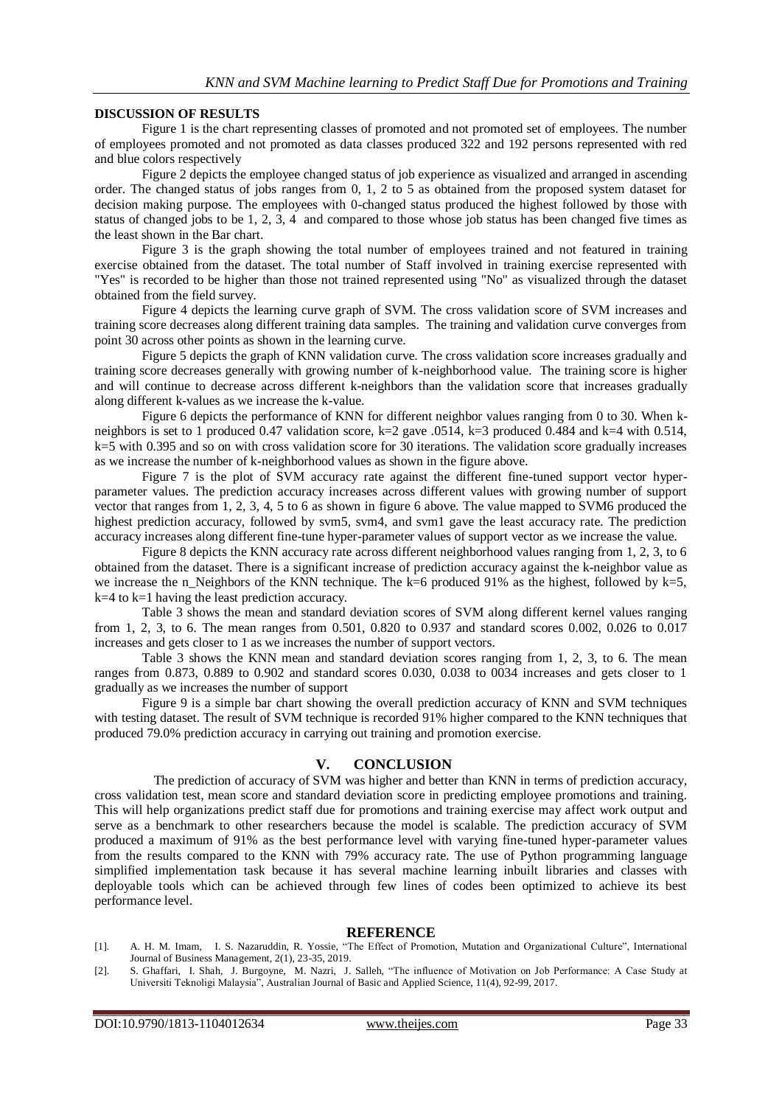#### **DISCUSSION OF RESULTS**

Figure 1 is the chart representing classes of promoted and not promoted set of employees. The number of employees promoted and not promoted as data classes produced 322 and 192 persons represented with red and blue colors respectively

Figure 2 depicts the employee changed status of job experience as visualized and arranged in ascending order. The changed status of jobs ranges from 0, 1, 2 to 5 as obtained from the proposed system dataset for decision making purpose. The employees with 0-changed status produced the highest followed by those with status of changed jobs to be 1, 2, 3, 4 and compared to those whose job status has been changed five times as the least shown in the Bar chart.

Figure 3 is the graph showing the total number of employees trained and not featured in training exercise obtained from the dataset. The total number of Staff involved in training exercise represented with "Yes" is recorded to be higher than those not trained represented using "No" as visualized through the dataset obtained from the field survey.

Figure 4 depicts the learning curve graph of SVM. The cross validation score of SVM increases and training score decreases along different training data samples. The training and validation curve converges from point 30 across other points as shown in the learning curve.

Figure 5 depicts the graph of KNN validation curve. The cross validation score increases gradually and training score decreases generally with growing number of k-neighborhood value. The training score is higher and will continue to decrease across different k-neighbors than the validation score that increases gradually along different k-values as we increase the k-value.

Figure 6 depicts the performance of KNN for different neighbor values ranging from 0 to 30. When kneighbors is set to 1 produced 0.47 validation score,  $k=2$  gave .0514,  $k=3$  produced 0.484 and  $k=4$  with 0.514,  $k=5$  with 0.395 and so on with cross validation score for 30 iterations. The validation score gradually increases as we increase the number of k-neighborhood values as shown in the figure above.

Figure 7 is the plot of SVM accuracy rate against the different fine-tuned support vector hyperparameter values. The prediction accuracy increases across different values with growing number of support vector that ranges from 1, 2, 3, 4, 5 to 6 as shown in figure 6 above. The value mapped to SVM6 produced the highest prediction accuracy, followed by svm5, svm4, and svm1 gave the least accuracy rate. The prediction accuracy increases along different fine-tune hyper-parameter values of support vector as we increase the value.

Figure 8 depicts the KNN accuracy rate across different neighborhood values ranging from 1, 2, 3, to 6 obtained from the dataset. There is a significant increase of prediction accuracy against the k-neighbor value as we increase the n\_Neighbors of the KNN technique. The k=6 produced 91% as the highest, followed by k=5, k=4 to k=1 having the least prediction accuracy.

Table 3 shows the mean and standard deviation scores of SVM along different kernel values ranging from 1, 2, 3, to 6. The mean ranges from 0.501, 0.820 to 0.937 and standard scores 0.002, 0.026 to 0.017 increases and gets closer to 1 as we increases the number of support vectors.

Table 3 shows the KNN mean and standard deviation scores ranging from 1, 2, 3, to 6. The mean ranges from 0.873, 0.889 to 0.902 and standard scores 0.030, 0.038 to 0034 increases and gets closer to 1 gradually as we increases the number of support

Figure 9 is a simple bar chart showing the overall prediction accuracy of KNN and SVM techniques with testing dataset. The result of SVM technique is recorded 91% higher compared to the KNN techniques that produced 79.0% prediction accuracy in carrying out training and promotion exercise.

## **V. CONCLUSION**

The prediction of accuracy of SVM was higher and better than KNN in terms of prediction accuracy, cross validation test, mean score and standard deviation score in predicting employee promotions and training. This will help organizations predict staff due for promotions and training exercise may affect work output and serve as a benchmark to other researchers because the model is scalable. The prediction accuracy of SVM produced a maximum of 91% as the best performance level with varying fine-tuned hyper-parameter values from the results compared to the KNN with 79% accuracy rate. The use of Python programming language simplified implementation task because it has several machine learning inbuilt libraries and classes with deployable tools which can be achieved through few lines of codes been optimized to achieve its best performance level.

## **REFERENCE**

- [1]. A. H. M. Imam, I. S. Nazaruddin, R. Yossie, "The Effect of Promotion, Mutation and Organizational Culture", International Journal of Business Management, 2(1), 23-35, 2019.
- [2]. S. Ghaffari, I. Shah, J. Burgoyne, M. Nazri, J. Salleh, "The influence of Motivation on Job Performance: A Case Study at Universiti Teknoligi Malaysia", Australian Journal of Basic and Applied Science, 11(4), 92-99, 2017.